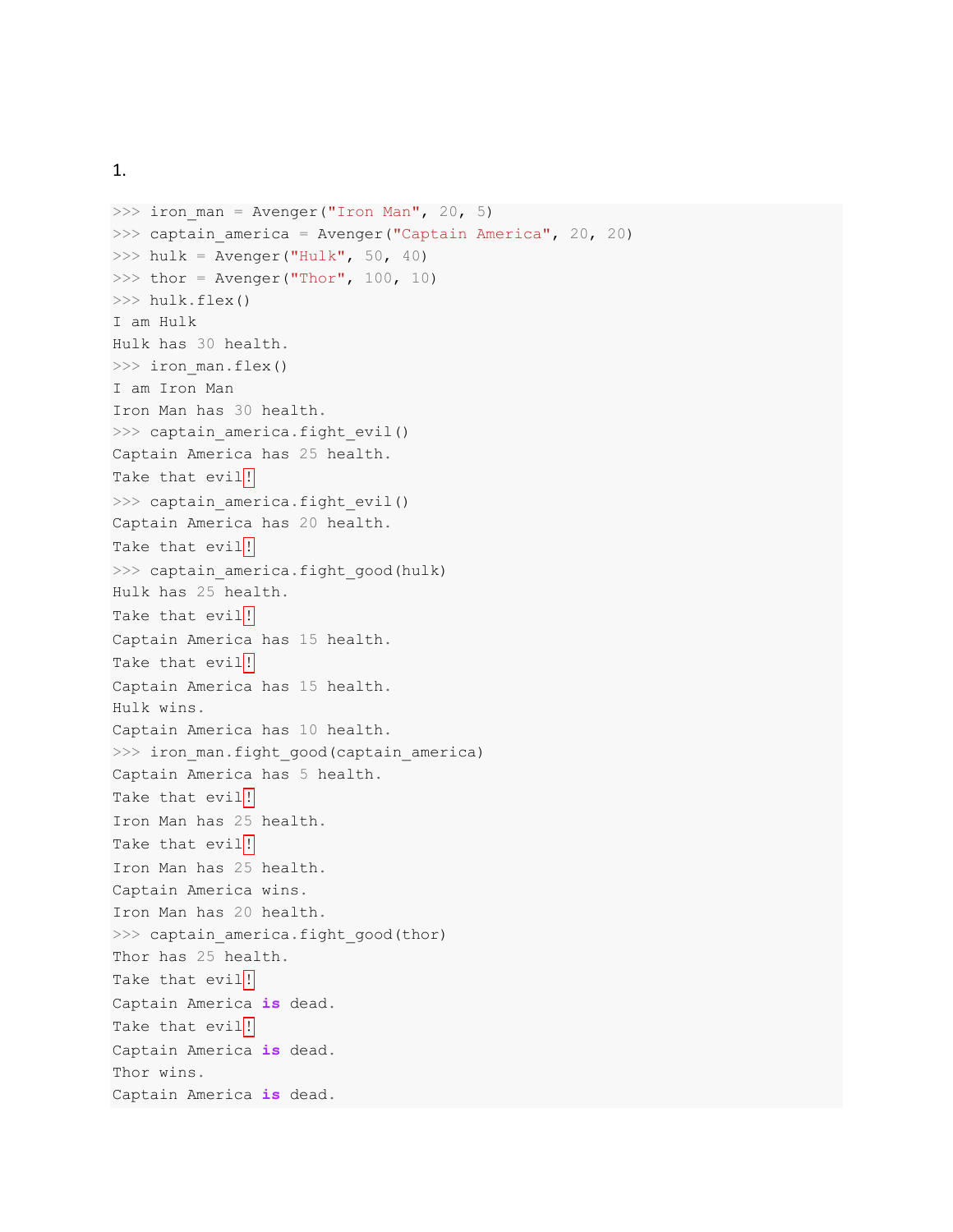1.

```
>>> iron_man = Avenger("Iron Man", 20, 5)
\gg captain america = Avenger("Captain America", 20, 20)
\gg hulk = Avenger("Hulk", 50, 40)
>>> thor = Avenger("Thor", 100, 10)
>>> hulk.flex()
I am Hulk
Hulk has 30 health.
>>> iron man.flex()
I am Iron Man
Iron Man has 30 health.
>>> captain america.fight evil()
Captain America has 25 health.
Take that evil!
>>> captain_america.fight_evil()
Captain America has 20 health.
Take that evil!
>>> captain america.fight_good(hulk)
Hulk has 25 health.
Take that evil<sup>!</sup>
Captain America has 15 health.
Take that evil!
Captain America has 15 health.
Hulk wins.
Captain America has 10 health.
>>> iron_man.fight_good(captain_america)
Captain America has 5 health.
Take that evil<sup>!</sup>
Iron Man has 25 health.
Take that evil!
Iron Man has 25 health.
Captain America wins.
Iron Man has 20 health.
>>> captain america.fight good(thor)
Thor has 25 health.
Take that evil!
Captain America is dead.
Take that evil<sup>!</sup>
Captain America is dead.
Thor wins.
Captain America is dead.
```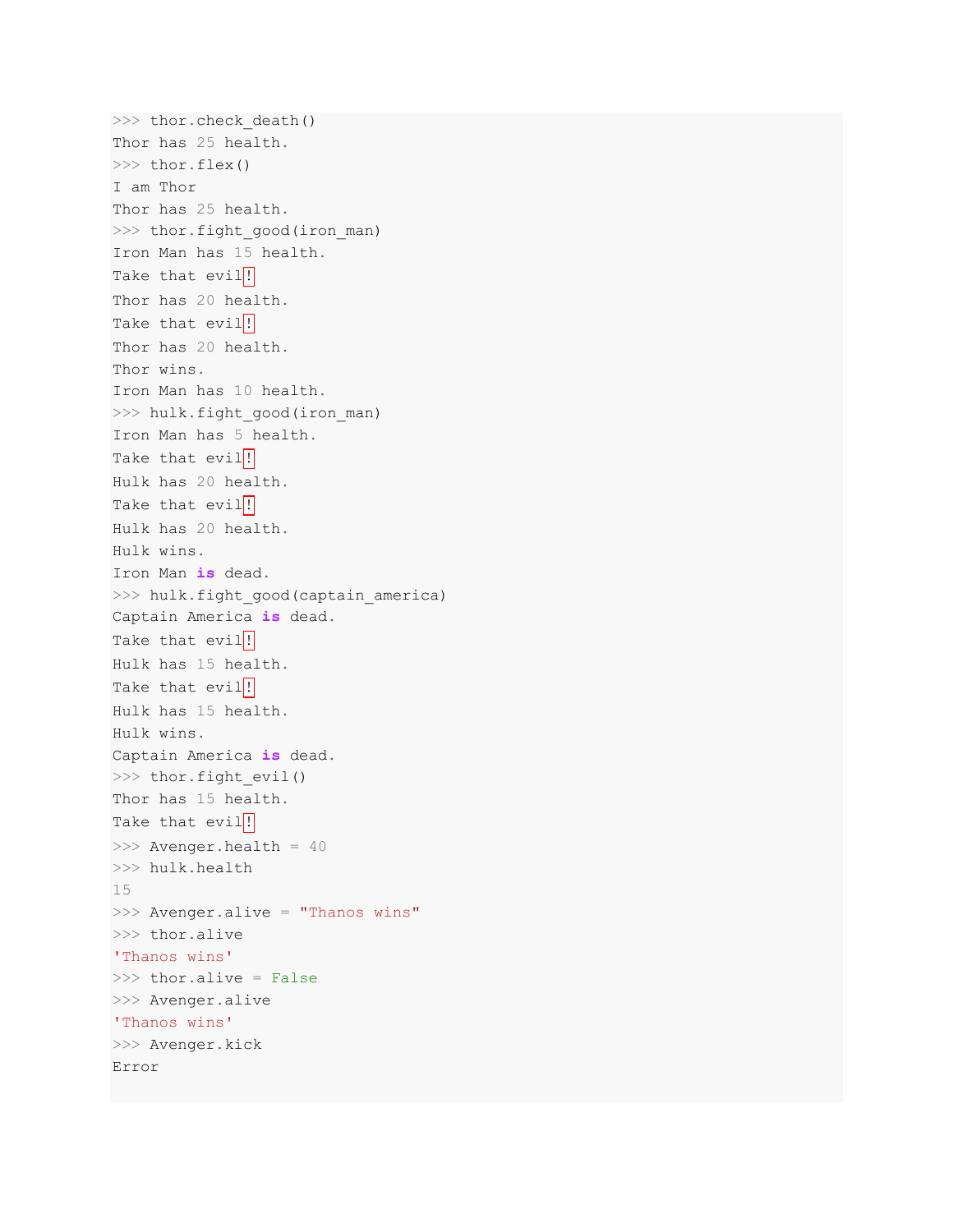```
>>> thor.check death()
Thor has 25 health.
>>> thor.flex()
I am Thor
Thor has 25 health.
>>> thor.fight good(iron man)
Iron Man has 15 health.
Take that evil<sup>!</sup>
Thor has 20 health.
Take that evil|!
Thor has 20 health.
Thor wins.
Iron Man has 10 health.
>>> hulk.fight good(iron man)
Iron Man has 5 health.
Take that evil!
Hulk has 20 health.
Take that evil!
Hulk has 20 health.
Hulk wins.
Iron Man is dead.
>>> hulk.fight good(captain america)
Captain America is dead.
Take that evil<sup>!</sup>
Hulk has 15 health.
Take that evil<sup>!!</sup>
Hulk has 15 health.
Hulk wins.
Captain America is dead.
>>> thor.fight evil()
Thor has 15 health.
Take that evil<sup>!</sup>
>>> Avenger.health = 40
>>> hulk.health
15
>>> Avenger.alive = "Thanos wins"
>>> thor.alive
'Thanos wins'
>>> thor.alive = False
>>> Avenger.alive
'Thanos wins'
>>> Avenger.kick
Error
```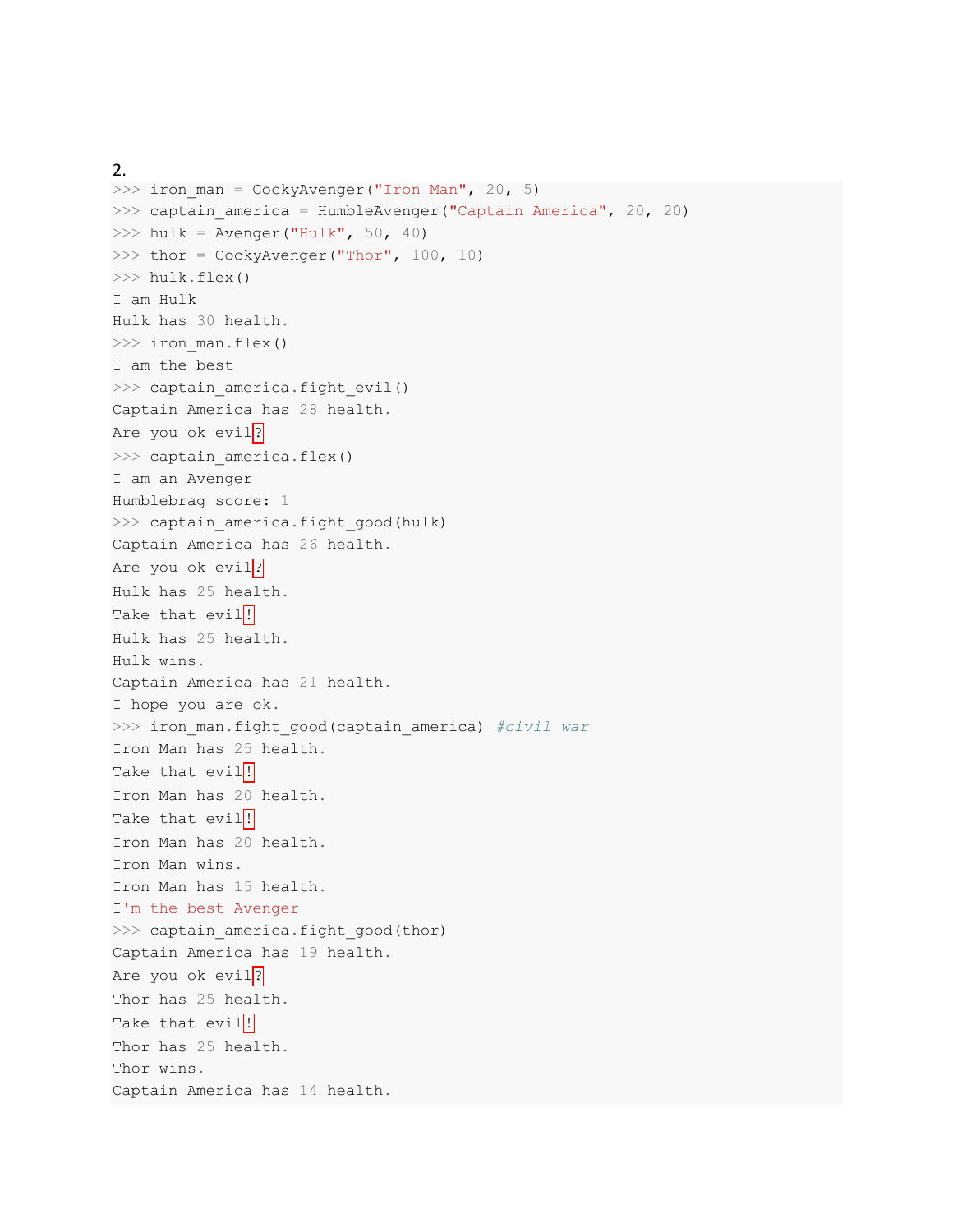```
2. 
\gg iron man = CockyAvenger("Iron Man", 20, 5)
\gg captain america = HumbleAvenger("Captain America", 20, 20)
\gg hulk = Avenger("Hulk", 50, 40)
>>> thor = CockyAvenger("Thor", 100, 10)
>>> hulk.flex()
I am Hulk
Hulk has 30 health.
>>> iron man.flex()
I am the best
>>> captain america.fight evil()
Captain America has 28 health.
Are you ok evil?
>>> captain america.flex()
I am an Avenger
Humblebrag score: 1
>>> captain america.fight good(hulk)
Captain America has 26 health.
Are you ok evil?
Hulk has 25 health.
Take that evil<sup>!</sup>
Hulk has 25 health.
Hulk wins.
Captain America has 21 health.
I hope you are ok.
>>> iron man.fight good(captain america) #civil war
Iron Man has 25 health.
Take that evil<sup>!</sup>
Iron Man has 20 health.
Take that evil!
Iron Man has 20 health.
Iron Man wins.
Iron Man has 15 health.
I'm the best Avenger
>>> captain_america.fight_good(thor)
Captain America has 19 health.
Are you ok evil<sup>?</sup>
Thor has 25 health.
Take that evil!
Thor has 25 health.
Thor wins.
Captain America has 14 health.
```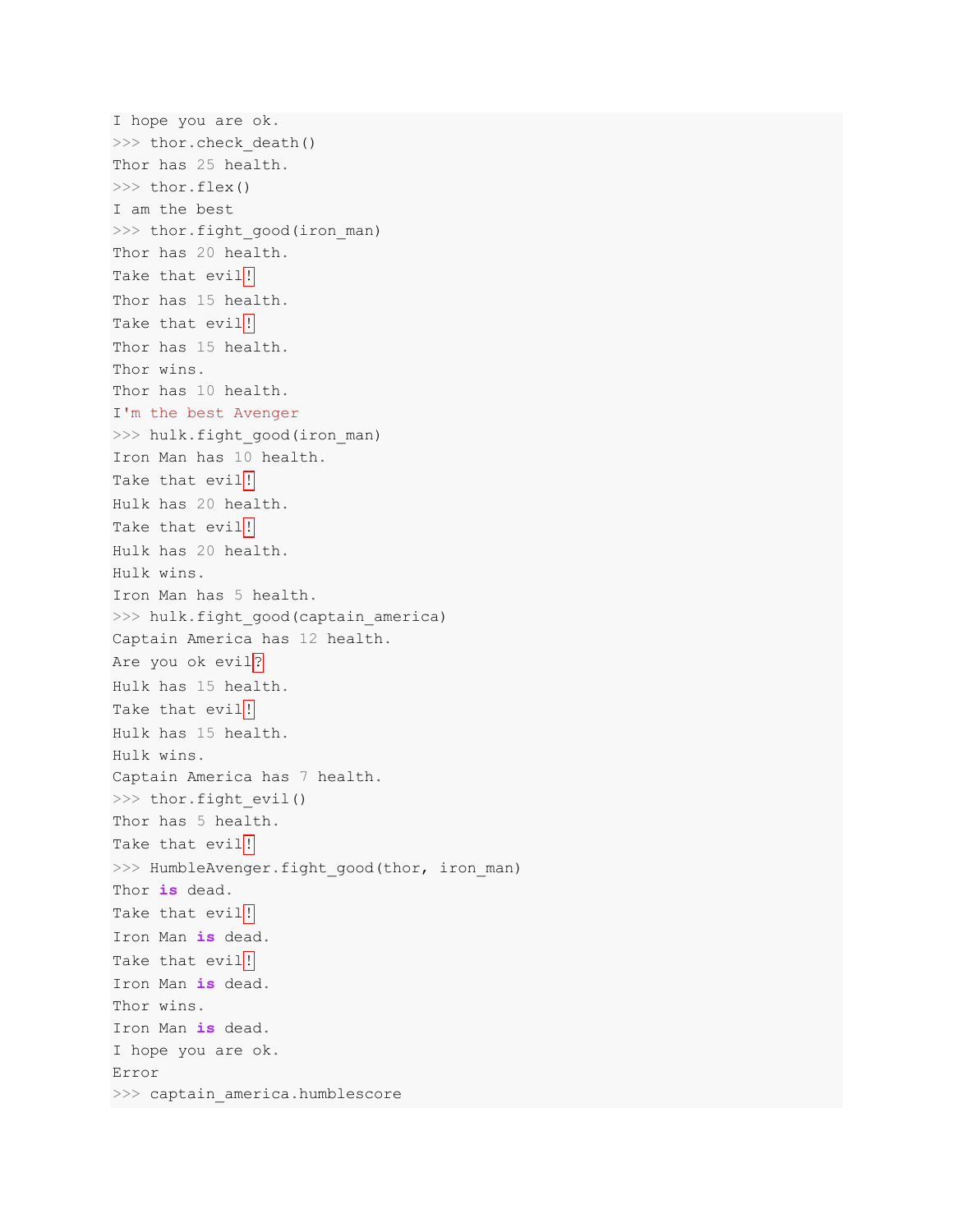```
I hope you are ok.
>>> thor.check death()
Thor has 25 health.
>>> thor.flex()
I am the best
>>> thor.fight good(iron man)
Thor has 20 health.
Take that evil<sup>!</sup>
Thor has 15 health.
Take that evil!
Thor has 15 health.
Thor wins.
Thor has 10 health.
I'm the best Avenger
>>> hulk.fight good(iron man)
Iron Man has 10 health.
Take that evil<sup>!</sup>
Hulk has 20 health.
Take that evil!
Hulk has 20 health.
Hulk wins.
Iron Man has 5 health.
>>> hulk.fight good(captain america)
Captain America has 12 health.
Are you ok evil?
Hulk has 15 health.
Take that evil<sup>!</sup>
Hulk has 15 health.
Hulk wins.
Captain America has 7 health.
>>> thor.fight evil()
Thor has 5 health.
Take that evil<sup>!</sup>
>>> HumbleAvenger.fight good(thor, iron man)
Thor is dead.
Take that evil!
Iron Man is dead.
Take that evil<sup>!</sup>
Iron Man is dead.
Thor wins.
Iron Man is dead.
I hope you are ok.
Error
>>> captain america.humblescore
```